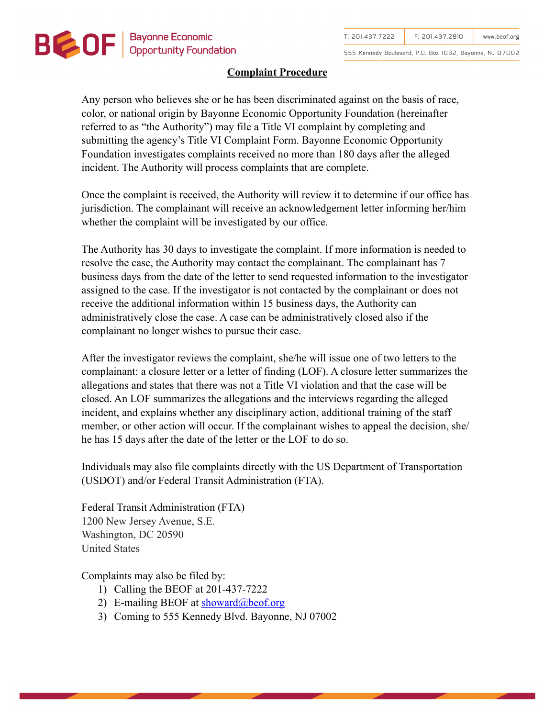

555 Kennedy Boulevard, P.O. Box 1032, Bayonne, NJ 07002

## **Complaint Procedure**

Any person who believes she or he has been discriminated against on the basis of race, color, or national origin by Bayonne Economic Opportunity Foundation (hereinafter referred to as "the Authority") may file a Title VI complaint by completing and submitting the agency's Title VI Complaint Form. Bayonne Economic Opportunity Foundation investigates complaints received no more than 180 days after the alleged incident. The Authority will process complaints that are complete.

Once the complaint is received, the Authority will review it to determine if our office has jurisdiction. The complainant will receive an acknowledgement letter informing her/him whether the complaint will be investigated by our office.

The Authority has 30 days to investigate the complaint. If more information is needed to resolve the case, the Authority may contact the complainant. The complainant has 7 business days from the date of the letter to send requested information to the investigator assigned to the case. If the investigator is not contacted by the complainant or does not receive the additional information within 15 business days, the Authority can administratively close the case. A case can be administratively closed also if the complainant no longer wishes to pursue their case.

After the investigator reviews the complaint, she/he will issue one of two letters to the complainant: a closure letter or a letter of finding (LOF). A closure letter summarizes the allegations and states that there was not a Title VI violation and that the case will be closed. An LOF summarizes the allegations and the interviews regarding the alleged incident, and explains whether any disciplinary action, additional training of the staff member, or other action will occur. If the complainant wishes to appeal the decision, she/ he has 15 days after the date of the letter or the LOF to do so.

Individuals may also file complaints directly with the US Department of Transportation (USDOT) and/or Federal Transit Administration (FTA).

Federal Transit Administration (FTA) 1200 New Jersey Avenue, S.E. Washington, DC 20590 United States

Complaints may also be filed by:

- 1) Calling the BEOF at 201-437-7222
- 2) E-mailing BEOF at [showard@beof.org](mailto:showard@beof.org)
- 3) Coming to 555 Kennedy Blvd. Bayonne, NJ 07002